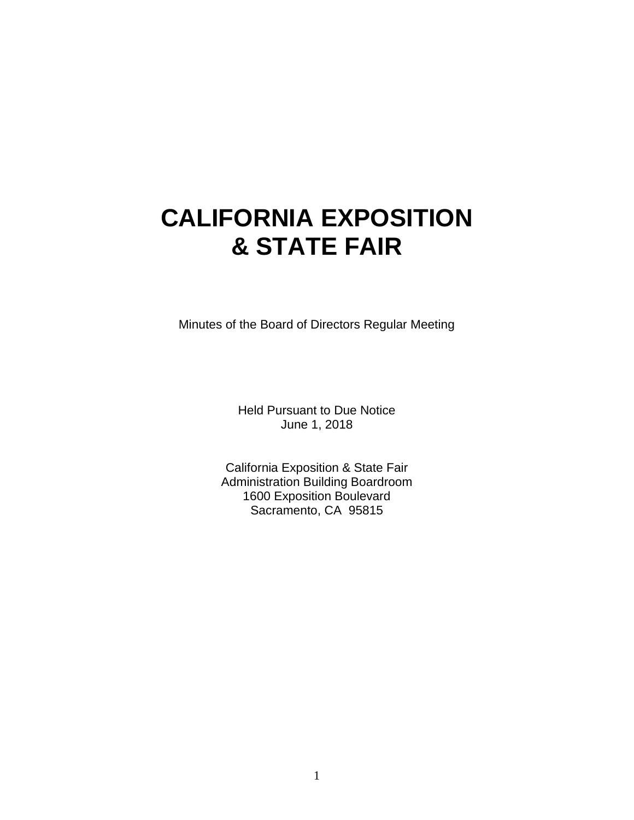# **CALIFORNIA EXPOSITION & STATE FAIR**

Minutes of the Board of Directors Regular Meeting

Held Pursuant to Due Notice June 1, 2018

California Exposition & State Fair Administration Building Boardroom 1600 Exposition Boulevard Sacramento, CA 95815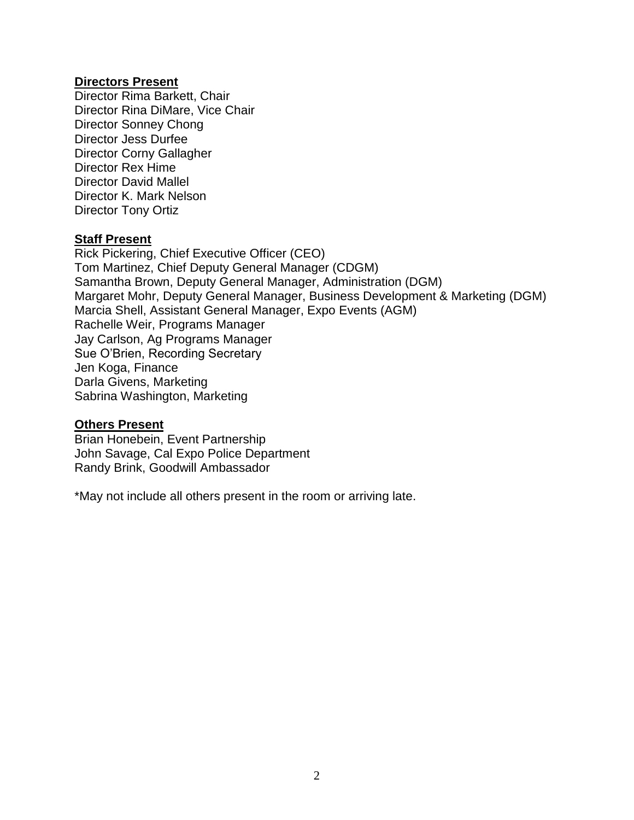## **Directors Present**

Director Rima Barkett, Chair Director Rina DiMare, Vice Chair Director Sonney Chong Director Jess Durfee Director Corny Gallagher Director Rex Hime Director David Mallel Director K. Mark Nelson Director Tony Ortiz

#### **Staff Present**

Rick Pickering, Chief Executive Officer (CEO) Tom Martinez, Chief Deputy General Manager (CDGM) Samantha Brown, Deputy General Manager, Administration (DGM) Margaret Mohr, Deputy General Manager, Business Development & Marketing (DGM) Marcia Shell, Assistant General Manager, Expo Events (AGM) Rachelle Weir, Programs Manager Jay Carlson, Ag Programs Manager Sue O'Brien, Recording Secretary Jen Koga, Finance Darla Givens, Marketing Sabrina Washington, Marketing

#### **Others Present**

Brian Honebein, Event Partnership John Savage, Cal Expo Police Department Randy Brink, Goodwill Ambassador

\*May not include all others present in the room or arriving late.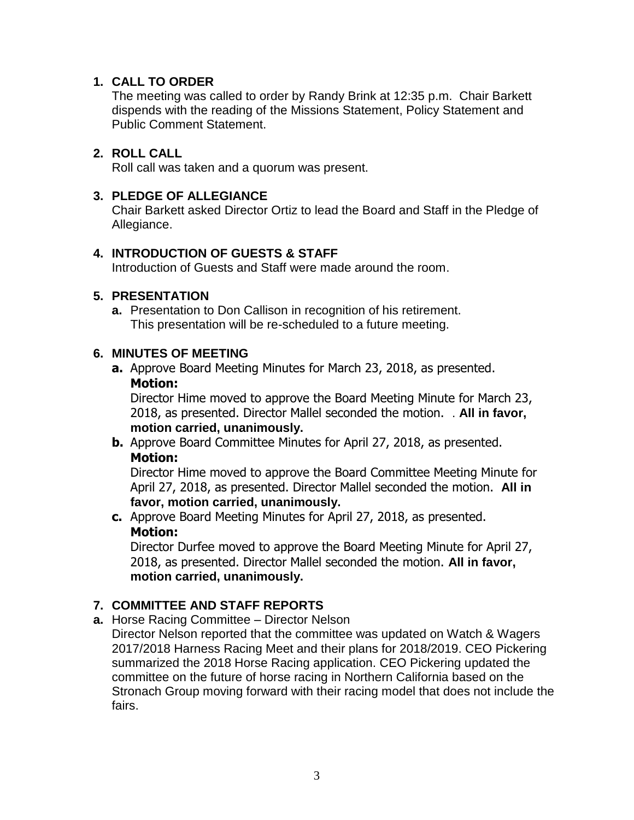## **1. CALL TO ORDER**

The meeting was called to order by Randy Brink at 12:35 p.m. Chair Barkett dispends with the reading of the Missions Statement, Policy Statement and Public Comment Statement.

## **2. ROLL CALL**

Roll call was taken and a quorum was present.

## **3. PLEDGE OF ALLEGIANCE**

Chair Barkett asked Director Ortiz to lead the Board and Staff in the Pledge of Allegiance.

## **4. INTRODUCTION OF GUESTS & STAFF**

Introduction of Guests and Staff were made around the room.

## **5. PRESENTATION**

**a.** Presentation to Don Callison in recognition of his retirement. This presentation will be re-scheduled to a future meeting.

## **6. MINUTES OF MEETING**

**a.** Approve Board Meeting Minutes for March 23, 2018, as presented. **Motion:**

Director Hime moved to approve the Board Meeting Minute for March 23, 2018, as presented. Director Mallel seconded the motion. . **All in favor, motion carried, unanimously.**

**b.** Approve Board Committee Minutes for April 27, 2018, as presented. **Motion:**

Director Hime moved to approve the Board Committee Meeting Minute for April 27, 2018, as presented. Director Mallel seconded the motion. **All in favor, motion carried, unanimously.**

**c.** Approve Board Meeting Minutes for April 27, 2018, as presented. **Motion:**

Director Durfee moved to approve the Board Meeting Minute for April 27, 2018, as presented. Director Mallel seconded the motion. **All in favor, motion carried, unanimously.**

## **7. COMMITTEE AND STAFF REPORTS**

**a.** Horse Racing Committee – Director Nelson

Director Nelson reported that the committee was updated on Watch & Wagers 2017/2018 Harness Racing Meet and their plans for 2018/2019. CEO Pickering summarized the 2018 Horse Racing application. CEO Pickering updated the committee on the future of horse racing in Northern California based on the Stronach Group moving forward with their racing model that does not include the fairs.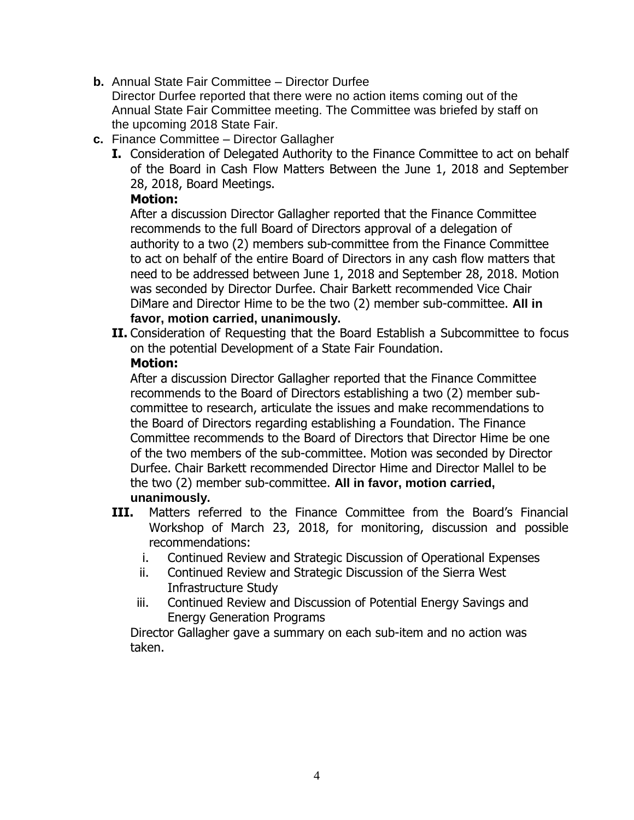**b.** Annual State Fair Committee – Director Durfee

Director Durfee reported that there were no action items coming out of the Annual State Fair Committee meeting. The Committee was briefed by staff on the upcoming 2018 State Fair.

- **c.** Finance Committee Director Gallagher
	- **I.** Consideration of Delegated Authority to the Finance Committee to act on behalf of the Board in Cash Flow Matters Between the June 1, 2018 and September 28, 2018, Board Meetings.

## **Motion:**

After a discussion Director Gallagher reported that the Finance Committee recommends to the full Board of Directors approval of a delegation of authority to a two (2) members sub-committee from the Finance Committee to act on behalf of the entire Board of Directors in any cash flow matters that need to be addressed between June 1, 2018 and September 28, 2018. Motion was seconded by Director Durfee. Chair Barkett recommended Vice Chair DiMare and Director Hime to be the two (2) member sub-committee. **All in favor, motion carried, unanimously.**

**II.** Consideration of Requesting that the Board Establish a Subcommittee to focus on the potential Development of a State Fair Foundation.

## **Motion:**

After a discussion Director Gallagher reported that the Finance Committee recommends to the Board of Directors establishing a two (2) member subcommittee to research, articulate the issues and make recommendations to the Board of Directors regarding establishing a Foundation. The Finance Committee recommends to the Board of Directors that Director Hime be one of the two members of the sub-committee. Motion was seconded by Director Durfee. Chair Barkett recommended Director Hime and Director Mallel to be the two (2) member sub-committee. **All in favor, motion carried, unanimously.**

- **III.** Matters referred to the Finance Committee from the Board's Financial Workshop of March 23, 2018, for monitoring, discussion and possible recommendations:
	- i. Continued Review and Strategic Discussion of Operational Expenses
	- ii. Continued Review and Strategic Discussion of the Sierra West Infrastructure Study
	- iii. Continued Review and Discussion of Potential Energy Savings and Energy Generation Programs

Director Gallagher gave a summary on each sub-item and no action was taken.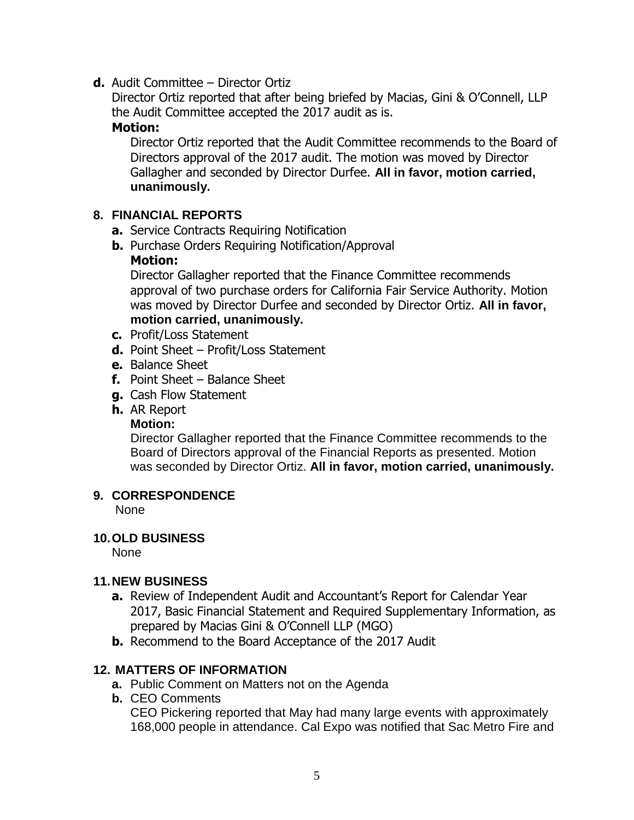**d.** Audit Committee – Director Ortiz

Director Ortiz reported that after being briefed by Macias, Gini & O'Connell, LLP the Audit Committee accepted the 2017 audit as is.

## **Motion:**

Director Ortiz reported that the Audit Committee recommends to the Board of Directors approval of the 2017 audit. The motion was moved by Director Gallagher and seconded by Director Durfee. **All in favor, motion carried, unanimously.**

## **8. FINANCIAL REPORTS**

- **a.** Service Contracts Requiring Notification
- **b.** Purchase Orders Requiring Notification/Approval **Motion:**

Director Gallagher reported that the Finance Committee recommends approval of two purchase orders for California Fair Service Authority. Motion was moved by Director Durfee and seconded by Director Ortiz. **All in favor, motion carried, unanimously.**

- **c.** Profit/Loss Statement
- **d.** Point Sheet Profit/Loss Statement
- **e.** Balance Sheet
- **f.** Point Sheet Balance Sheet
- **g.** Cash Flow Statement
- **h.** AR Report

## **Motion:**

Director Gallagher reported that the Finance Committee recommends to the Board of Directors approval of the Financial Reports as presented. Motion was seconded by Director Ortiz. **All in favor, motion carried, unanimously.**

## **9. CORRESPONDENCE**

None

## **10.OLD BUSINESS**

None

## **11.NEW BUSINESS**

- **a.** Review of Independent Audit and Accountant's Report for Calendar Year 2017, Basic Financial Statement and Required Supplementary Information, as prepared by Macias Gini & O'Connell LLP (MGO)
- **b.** Recommend to the Board Acceptance of the 2017 Audit

## **12. MATTERS OF INFORMATION**

- **a.** Public Comment on Matters not on the Agenda
- **b.** CEO Comments

CEO Pickering reported that May had many large events with approximately 168,000 people in attendance. Cal Expo was notified that Sac Metro Fire and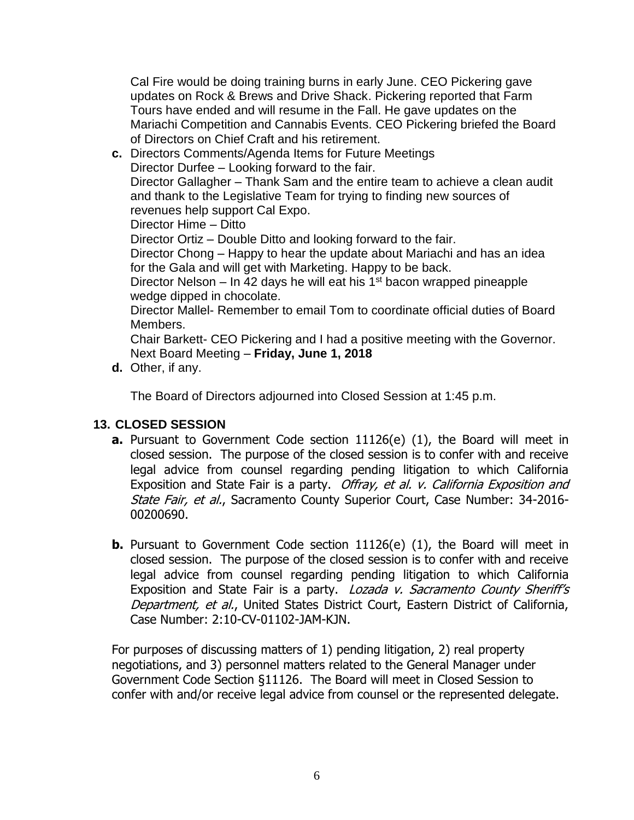Cal Fire would be doing training burns in early June. CEO Pickering gave updates on Rock & Brews and Drive Shack. Pickering reported that Farm Tours have ended and will resume in the Fall. He gave updates on the Mariachi Competition and Cannabis Events. CEO Pickering briefed the Board of Directors on Chief Craft and his retirement.

**c.** Directors Comments/Agenda Items for Future Meetings Director Durfee – Looking forward to the fair. Director Gallagher – Thank Sam and the entire team to achieve a clean audit and thank to the Legislative Team for trying to finding new sources of revenues help support Cal Expo. Director Hime – Ditto Director Ortiz – Double Ditto and looking forward to the fair. Director Chong – Happy to hear the update about Mariachi and has an idea for the Gala and will get with Marketing. Happy to be back. Director Nelson – In 42 days he will eat his  $1<sup>st</sup>$  bacon wrapped pineapple wedge dipped in chocolate. Director Mallel- Remember to email Tom to coordinate official duties of Board Members.

Chair Barkett- CEO Pickering and I had a positive meeting with the Governor. Next Board Meeting – **Friday, June 1, 2018**

**d.** Other, if any.

The Board of Directors adjourned into Closed Session at 1:45 p.m.

## **13. CLOSED SESSION**

- **a.** Pursuant to Government Code section 11126(e) (1), the Board will meet in closed session. The purpose of the closed session is to confer with and receive legal advice from counsel regarding pending litigation to which California Exposition and State Fair is a party. Offray, et al. v. California Exposition and State Fair, et al., Sacramento County Superior Court, Case Number: 34-2016-00200690.
- **b.** Pursuant to Government Code section 11126(e) (1), the Board will meet in closed session. The purpose of the closed session is to confer with and receive legal advice from counsel regarding pending litigation to which California Exposition and State Fair is a party. Lozada v. Sacramento County Sheriff's Department, et al., United States District Court, Eastern District of California, Case Number: 2:10-CV-01102-JAM-KJN.

For purposes of discussing matters of 1) pending litigation, 2) real property negotiations, and 3) personnel matters related to the General Manager under Government Code Section §11126. The Board will meet in Closed Session to confer with and/or receive legal advice from counsel or the represented delegate.